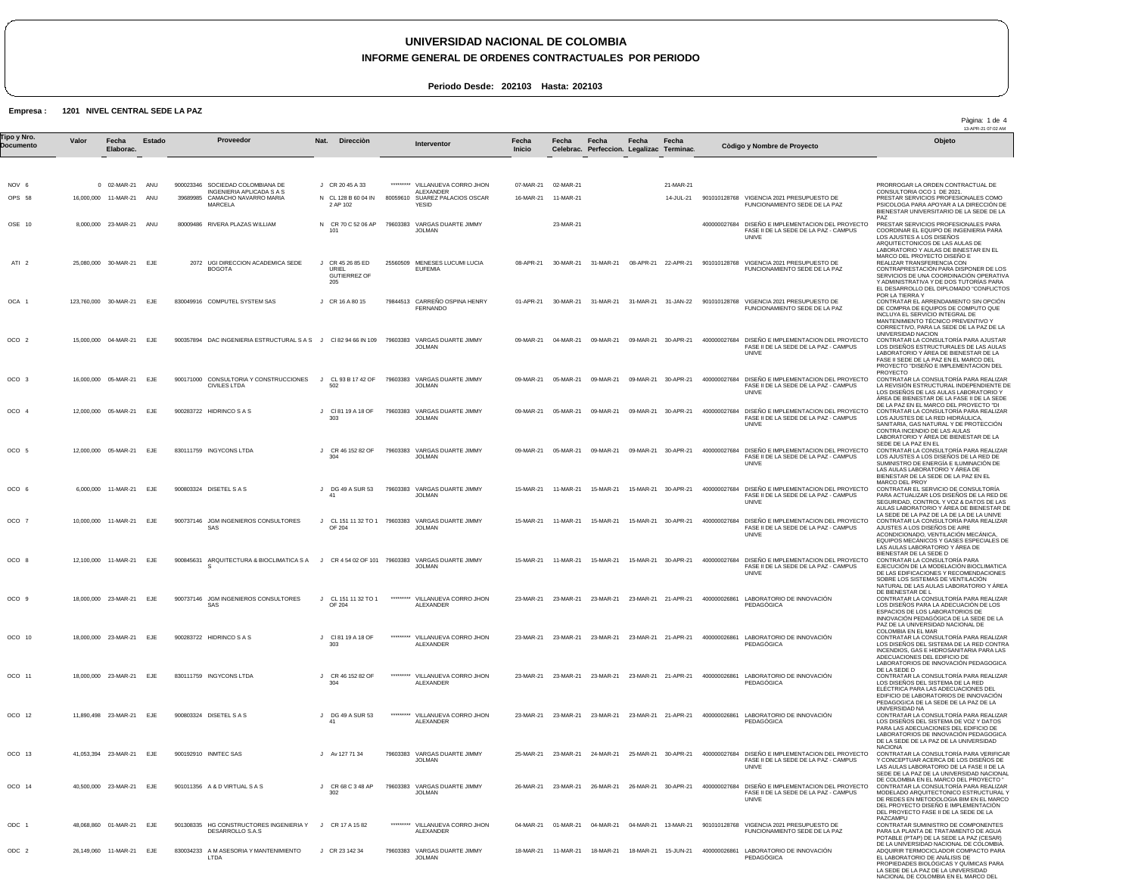#### **INFORME GENERAL DE ORDENES CONTRACTUALES POR PERIODO**

**Periodo Desde: 202103 Hasta: 202103**

#### **Empresa : 1201 NIVEL CENTRAL SEDE LA PAZ**

| Tipo y Nro.<br>Documento | Valor | Fecha<br>Elaborac.                  | Estado     |                          | Proveedor                                                                                                                | Nat.<br>Direcciòn                                       |           | Interventor                                                                                 | Fecha<br>Inicio        | Fecha                  | Fecha<br>Celebrac. Perfeccion. Legalizac Terminac. | Fecha     | Fecha                  |                                                                | Còdigo y Nombre de Proyecto                                                                                   | Objeto                                                                                                                                                                                                                                                                       |
|--------------------------|-------|-------------------------------------|------------|--------------------------|--------------------------------------------------------------------------------------------------------------------------|---------------------------------------------------------|-----------|---------------------------------------------------------------------------------------------|------------------------|------------------------|----------------------------------------------------|-----------|------------------------|----------------------------------------------------------------|---------------------------------------------------------------------------------------------------------------|------------------------------------------------------------------------------------------------------------------------------------------------------------------------------------------------------------------------------------------------------------------------------|
|                          |       |                                     |            |                          |                                                                                                                          |                                                         |           |                                                                                             |                        |                        |                                                    |           |                        |                                                                |                                                                                                               |                                                                                                                                                                                                                                                                              |
| NOV 6<br>OPS 58          |       | 0 02-MAR-21<br>16,000,000 11-MAR-21 | ANU<br>ANU |                          | 900023346 SOCIEDAD COLOMBIANA DE<br><b>INGENIERIA APLICADA S A S</b><br>39689985 CAMACHO NAVARRO MARIA<br><b>MARCELA</b> | J CR 20 45 A 33<br>N CL 128 B 60 04 IN<br>2 AP 102      | ********* | VILLANUEVA CORRO JHON<br><b>ALEXANDER</b><br>80059610 SUAREZ PALACIOS OSCAR<br><b>YESID</b> | 07-MAR-21<br>16-MAR-21 | 02-MAR-21<br>11-MAR-21 |                                                    |           | 21-MAR-21<br>14-JUL-21 |                                                                | 901010128768 VIGENCIA 2021 PRESUPUESTO DE<br>FUNCIONAMIENTO SEDE DE LA PAZ                                    | PRORROGAR LA ORDEN CONTRACTUAL DE<br>CONSULTORIA OCO 1 DE 2021.<br>PRESTAR SERVICIOS PROFESIONALES COMO<br>PSICOLOGA PARA APOYAR A LA DIRECCIÓN DE<br>BIENESTAR UNIVERSITARIO DE LA SEDE DE LA                                                                               |
| OSE 10                   |       | 8,000,000 23-MAR-21 ANU             |            |                          | 80009486 RIVERA PLAZAS WILLIAM                                                                                           | N CR 70 C 52 06 AP<br>101                               |           | 79603383 VARGAS DUARTE JIMMY<br><b>JOLMAN</b>                                               |                        | 23-MAR-21              |                                                    |           |                        |                                                                | 400000027684 DISEÑO E IMPLEMENTACION DEL PROYECTO<br>FASE II DE LA SEDE DE LA PAZ - CAMPUS<br>UNIVE           | PA7<br>PRESTAR SERVICIOS PROFESIONALES PARA<br>COORDINAR EL EQUIPO DE INGENIERIA PARA<br>LOS AJUSTES A LOS DISEÑOS<br>ARQUITECTONICOS DE LAS AULAS DE                                                                                                                        |
| ATI <sub>2</sub>         |       | 25,080,000 30-MAR-21 EJE            |            |                          | 2072 UGI DIRECCION ACADEMICA SEDE<br><b>BOGOTA</b>                                                                       | J CR 45 26 85 ED<br>URIEL<br><b>GUTIERREZ OF</b><br>205 |           | 25560509 MENESES LUCUMI LUCIA<br><b>EUFEMIA</b>                                             | 08-APR-21              | 30-MAR-21              | 31-MAR-21                                          |           | 08-APR-21 22-APR-21    |                                                                | 901010128768 VIGENCIA 2021 PRESUPUESTO DE<br>FUNCIONAMIENTO SEDE DE LA PAZ                                    | LABORATORIO Y AULAS DE BINESTAR EN EL<br>MARCO DEL PROYECTO DISENO E<br>REALIZAR TRANSFERENCIA CON<br>CONTRAPRESTACIÓN PARA DISPONER DE LOS<br>SERVICIOS DE UNA COORDINACIÓN OPERATIVA<br>Y ADMINISTRATIVA Y DE DOS TUTORÍAS PARA<br>EL DESARROLLO DEL DIPLOMADO "CONFLICTOS |
| OCA 1                    |       | 123,760,000 30-MAR-21 EJE           |            |                          | 830049916 COMPUTEL SYSTEM SAS                                                                                            | J CR 16 A 80 15                                         |           | 79844513 CARREÑO OSPINA HENRY<br><b>FERNANDO</b>                                            | 01-APR-21              | 30-MAR-21              | 31-MAR-21                                          |           | 31-MAR-21 31-JAN-22    |                                                                | 901010128768 VIGENCIA 2021 PRESUPUESTO DE<br>FUNCIONAMIENTO SEDE DE LA PAZ                                    | POR LA TIERRA Y<br>CONTRATAR EL ARRENDAMIENTO SIN OPCIÓN<br>DE COMPRA DE EQUIPOS DE COMPUTO QUE<br>INCLUYA EL SERVICIO INTEGRAL DE<br>MANTENIMIENTO TÉCNICO PREVENTIVO Y<br>CORRECTIVO, PARA LA SEDE DE LA PAZ DE LA                                                         |
| OCO <sub>2</sub>         |       | 15,000,000 04-MAR-21                | EJE        |                          | 900357894 DAC INGENIERIA ESTRUCTURAL S A S J CI 82 94 66 IN 109                                                          |                                                         | 79603383  | VARGAS DUARTE JIMMY<br><b>JOLMAN</b>                                                        | 09-MAR-21              | 04-MAR-21              | 09-MAR-21                                          | 09-MAR-21 | 30-APR-21              |                                                                | 400000027684 DISEÑO E IMPLEMENTACION DEL PROYECTO<br>FASE II DE LA SEDE DE LA PAZ - CAMPUS<br><b>UNIVE</b>    | UNIVERSIDAD NACION<br>CONTRATAR LA CONSULTORÍA PARA AJUSTAR<br>LOS DISEÑOS ESTRUCTURALES DE LAS AULAS<br>LABORATORIO Y ÁREA DE BIENESTAR DE LA<br>FASE II SEDE DE LA PAZ EN EL MARCO DEL<br>PROYECTO "DISENO E IMPLEMENTACION DEL<br>PROYECTO                                |
| OCO 3                    |       | 16,000,000 05-MAR-21 EJE            |            |                          | 900171000 CONSULTORIA Y CONSTRUCCIONES<br><b>CIVILES LTDA</b>                                                            | CL 93 B 17 42 OF<br>$\cdot$<br>502                      |           | 79603383 VARGAS DUARTE JIMMY<br><b>JOLMAN</b>                                               | 09-MAR-21              | 05-MAR-21              | 09-MAR-21                                          |           | 09-MAR-21 30-APR-21    | 400000027684                                                   | DISEÑO E IMPLEMENTACION DEL PROYECTO<br>FASE II DE LA SEDE DE LA PAZ - CAMPUS<br>UNIVE                        | CONTRATAR LA CONSULTORÍA PARA REALIZAR<br>LA REVISIÓN ESTRUCTURAL INDEPENDIENTE DE<br>LOS DISEÑOS DE LAS AULAS LABORATORIO Y<br>ÁREA DE BIENESTAR DE LA FASE II DE LA SEDE                                                                                                   |
| OCO 4                    |       | 12,000,000 05-MAR-21                | EJE        |                          | 900283722 HIDRINCO S A S                                                                                                 | J CI 81 19 A 18 OF<br>303                               |           | 79603383 VARGAS DUARTE JIMMY<br><b>JOLMAN</b>                                               | 09-MAR-21              | 05-MAR-21              | 09-MAR-21                                          |           | 09-MAR-21 30-APR-21    |                                                                | 400000027684 DISEÑO E IMPLEMENTACION DEL PROYECTO<br>FASE II DE LA SEDE DE LA PAZ - CAMPUS<br>UNIVE           | DE LA PAZ EN EL MARCO DEL PROYECTO "DI<br>CONTRATAR LA CONSULTORÍA PARA REALIZAR<br>LOS AJUSTES DE LA RED HIDRÁULICA,<br>SANITARIA, GAS NATURAL Y DE PROTECCIÓN<br>CONTRA INCENDIO DE LAS AULAS<br>LABORATORIO Y AREA DE BIENESTAR DE LA                                     |
| OCO 5                    |       | 12,000,000 05-MAR-21                | EJE        |                          | 830111759 INGYCONS LTDA                                                                                                  | CR 46 152 82 OF<br>J<br>304                             | 79603383  | VARGAS DUARTE JIMMY<br><b>JOLMAN</b>                                                        | 09-MAR-21              | 05-MAR-21              | 09-MAR-21                                          | 09-MAR-21 | 30-APR-21              |                                                                | 400000027684 DISEÑO E IMPLEMENTACION DEL PROYECTO<br>FASE II DE LA SEDE DE LA PAZ - CAMPUS<br>UNIVE           | SEDE DE LA PAZ EN EL<br>CONTRATAR LA CONSULTORÍA PARA REALIZAR<br>LOS AJUSTES A LOS DISEÑOS DE LA RED DE<br>SUMINISTRO DE ENERGÍA E ILUMINACIÓN DE<br>LAS AULAS LABORATORIO Y ÁREA DE<br>BIENESTAR DE LA SEDE DE LA PAZ EN EL                                                |
| OCO 6                    |       | 6,000,000 11-MAR-21 EJE             |            | 900803324 DISETEL S A S  |                                                                                                                          | J DG 49 A SUR 53<br>41                                  |           | 79603383 VARGAS DUARTE JIMMY<br><b>JOLMAN</b>                                               | 15-MAR-21              | 11-MAR-21              | 15-MAR-21                                          |           | 15-MAR-21 30-APR-21    |                                                                | 400000027684 DISEÑO E IMPLEMENTACION DEL PROYECTO<br>FASE II DE LA SEDE DE LA PAZ - CAMPUS<br>UNIVE           | MARCO DEL PROY<br>CONTRATAR EL SERVICIO DE CONSULTORÍA<br>PARA ACTUALIZAR LOS DISEÑOS DE LA RED DE<br>SEGURIDAD, CONTROL Y VOZ & DATOS DE LAS<br>AULAS LABORATORIO Y AREA DE BIENESTAR DE                                                                                    |
| OCO <sub>7</sub>         |       | 10,000,000 11-MAR-21                | EJE        |                          | 900737146 JGM INGENIEROS CONSULTORES<br>SAS                                                                              | J<br>OF 204                                             |           | CL 151 11 32 TO 1 79603383 VARGAS DUARTE JIMMY<br><b>JOLMAN</b>                             | 15-MAR-21              | 11-MAR-21              | 15-MAR-21                                          |           | 15-MAR-21 30-APR-21    |                                                                | 400000027684 DISEÑO E IMPLEMENTACION DEL PROYECTO<br>FASE II DE LA SEDE DE LA PAZ - CAMPUS<br>UNIVE           | LA SEDE DE LA PAZ DE LA DE LA DE LA UNIVE<br>CONTRATAR LA CONSULTORÍA PARA REALIZAR<br>AJUSTES A LOS DISEÑOS DE AIRE<br>ACONDICIONADO, VENTILACIÓN MECÁNICA.<br>EQUIPOS MECÁNICOS Y GASES ESPECIALES DE<br>LAS AULAS LABORATORIO Y AREA DE                                   |
| OCO 8                    |       | 12,100,000 11-MAR-21                | EJE        | 900845631<br>-S          | ARQUITECTURA & BIOCLIMATICA S A                                                                                          | CR 4 54 02 OF 101 79603383<br>J.                        |           | VARGAS DUARTE JIMMY<br><b>JOLMAN</b>                                                        | 15-MAR-21              | 11-MAR-21              | 15-MAR-21                                          |           | 15-MAR-21 30-APR-21    | 400000027684                                                   | DISEÑO E IMPLEMENTACION DEL PROYECTO<br>FASE II DE LA SEDE DE LA PAZ - CAMPUS<br><b>UNIVE</b>                 | BIENESTAR DE LA SEDE D<br>CONTRATAR LA CONSULTORIA PARA<br>EJECUCIÓN DE LA MODELACIÓN BIOCLIMATICA<br>DE LAS EDIFICACIONES Y RECOMENDACIONES<br>SOBRE LOS SISTEMAS DE VENTILACIÓN<br>NATURAL DE LAS AULAS LABORATORIO Y AREA                                                 |
| OCO 9                    |       | 18,000,000 23-MAR-21 EJE            |            |                          | 900737146 JGM INGENIEROS CONSULTORES<br>SAS                                                                              | CL 151 11 32 TO 1<br>J<br>OF 204                        |           | VILLANUEVA CORRO JHON<br><b>ALEXANDER</b>                                                   | 23-MAR-21              | 23-MAR-21              | 23-MAR-21                                          |           | 23-MAR-21 21-APR-21    | 400000026861                                                   | LABORATORIO DE INNOVACIÓN<br><b>PEDAGÓGICA</b>                                                                | DE BIENESTAR DE L<br>CONTRATAR LA CONSULTORÍA PARA REALIZAR<br>LOS DISEÑOS PARA LA ADECUACIÓN DE LOS<br>ESPACIOS DE LOS LABORATORIOS DE<br>INNOVACIÓN PEDAGÓGICA DE LA SEDE DE LA<br>PAZ DE LA UNIVERSIDAD NACIONAL DE                                                       |
| OCO 10                   |       | 18,000,000 23-MAR-21 EJE            |            | 900283722 HIDRINCO S A S |                                                                                                                          | CI 81 19 A 18 OF<br>303                                 |           | ********* VILLANUEVA CORRO JHON<br>ALEXANDER                                                |                        |                        |                                                    |           |                        |                                                                | 23-MAR-21 23-MAR-21 23-MAR-21 23-MAR-21 21-APR-21 400000026861 LABORATORIO DE INNOVACIÓN<br><b>PEDAGOGICA</b> | COLOMBIA EN EL MAR<br>CONTRATAR LA CONSULTORÍA PARA REALIZAR<br>LOS DISENOS DEL SISTEMA DE LA RED CONTRA<br>INCENDIOS, GAS E HIDROSANITARIA PARA LAS<br>ADECUACIONES DEL EDIFICIO DE<br>LABORATORIOS DE INNOVACIÓN PEDAGOGICA                                                |
| OCO 11                   |       | 18,000,000 23-MAR-21 EJE            |            |                          | 830111759 INGYCONS LTDA                                                                                                  | J CR 46 152 82 OF<br>304                                | ********* | VILLANUEVA CORRO JHON<br><b>ALEXANDER</b>                                                   |                        |                        |                                                    |           |                        | 23-MAR-21 23-MAR-21 23-MAR-21 23-MAR-21 21-APR-21 400000026861 | LABORATORIO DE INNOVACIÓN<br>PEDAGÓGICA                                                                       | DE LA SEDE D<br>CONTRATAR LA CONSULTORÍA PARA REALIZAR<br>LOS DISEÑOS DEL SISTEMA DE LA RED<br>ELÉCTRICA PARA LAS ADECUACIONES DEL<br>EDIFICIO DE LABORATORIOS DE INNOVACIÓN<br>PEDAGOGICA DE LA SEDE DE LA PAZ DE LA<br>UNIVERSIDAD NA                                      |
| OCO 12                   |       | 11,890,498 23-MAR-21 EJE            |            | 900803324 DISETEL S A S  |                                                                                                                          | J DG 49 A SUR 53<br>41                                  | ********* | VILLANUEVA CORRO JHON<br><b>ALEXANDER</b>                                                   | 23-MAR-21 23-MAR-21    |                        | 23-MAR-21                                          |           | 23-MAR-21 21-APR-21    | 400000026861                                                   | LABORATORIO DE INNOVACIÓN<br>PEDAGOGICA                                                                       | CONTRATAR LA CONSULTORÍA PARA REALIZAR<br>LOS DISENOS DEL SISTEMA DE VOZ Y DATOS<br>PARA LAS ADECUACIONES DEL EDIFICIO DE<br>LABORATORIOS DE INNOVACIÓN PEDAGOGICA<br>DE LA SEDE DE LA PAZ DE LA UNIVERSIDAD<br><b>NACIONA</b>                                               |
| OCO 13                   |       | 41,053,394 23-MAR-21 EJE            |            | 900192910 INMTEC SAS     |                                                                                                                          | J Av 127 71 34                                          |           | 79603383 VARGAS DUARTE JIMMY<br><b>JOLMAN</b>                                               | 25-MAR-21              | 23-MAR-21              | 24-MAR-21                                          |           | 25-MAR-21 30-APR-21    |                                                                | 400000027684 DISEÑO E IMPLEMENTACION DEL PROYECTO<br>FASE II DE LA SEDE DE LA PAZ - CAMPUS<br>UNIVE           | CONTRATAR LA CONSULTORÍA PARA VERIFICAR<br>Y CONCEPTUAR ACERCA DE LOS DISEÑOS DE<br>LAS AULAS LABORATORIO DE LA FASE II DE LA<br>SEDE DE LA PAZ DE LA UNIVERSIDAD NACIONAL<br>DE COLOMBIA EN EL MARCO DEL PROYECTO "                                                         |
| OCO 14                   |       | 40,500,000 23-MAR-21                | EJE        |                          | 901011356 A & D VIRTUAL S A S                                                                                            | J CR 68 C 3 48 AP<br>302                                | 79603383  | VARGAS DUARTE JIMMY<br><b>JOLMAN</b>                                                        | 26-MAR-21              | 23-MAR-21              | 26-MAR-21                                          | 26-MAR-21 | 30-APR-21              | 400000027684                                                   | DISEÑO E IMPLEMENTACION DEL PROYECTO<br>FASE II DE LA SEDE DE LA PAZ - CAMPUS<br>UNIVE                        | CONTRATAR LA CONSULTORÍA PARA REALIZAR<br>MODELADO ARQUITECTONICO ESTRUCTURAL Y<br>DE REDES EN METODOLOGIA BIM EN EL MARCO<br>DEL PROYECTO DISENO E IMPLEMENTACIÓN<br>DEL PROYECTO FASE II DE LA SEDE DE LA<br>PAZCAMPU                                                      |
| ODC 1                    |       | 48,068,860 01-MAR-21 EJE            |            |                          | 901308335 HG CONSTRUCTORES INGENIERIA Y J CR 17 A 15 82<br>DESARROLLO S.A.S                                              |                                                         | ********* | VILLANUEVA CORRO JHON<br><b>ALEXANDER</b>                                                   | 04-MAR-21              | 01-MAR-21              | 04-MAR-21                                          |           | 04-MAR-21 13-MAR-21    |                                                                | 901010128768 VIGENCIA 2021 PRESUPUESTO DE<br>FUNCIONAMIENTO SEDE DE LA PAZ                                    | CONTRATAR SUMINISTRO DE COMPONENTES<br>PARA LA PLANTA DE TRATAMIENTO DE AGUA<br>POTABLE (PTAP) DE LA SEDE LA PAZ (CESAR)<br>DE LA UNIVERSIDAD NACIONAL DE COLOMBIA.                                                                                                          |
| ODC <sub>2</sub>         |       | 26,149,060 11-MAR-21                | EJE        |                          | 830034233 A M ASESORIA Y MANTENIMIENTO<br>LTDA                                                                           | J CR 23 142 34                                          |           | 79603383 VARGAS DUARTE JIMMY<br>JOLMAN                                                      | 18-MAR-21              | 11-MAR-21              | 18-MAR-21                                          | 18-MAR-21 | 15-JUN-21              | 400000026861                                                   | LABORATORIO DE INNOVACIÓN<br><b>PEDAGÓGICA</b>                                                                | ADQUIRIR TERMOCICLADOR COMPACTO PARA<br>EL LABORATORIO DE ANÁLISIS DE<br>PROPIEDADES BIOLÓGICAS Y QUÍMICAS PARA<br>LA SEDE DE LA PAZ DE LA UNIVERSIDAD<br>NACIONAL DE COLOMBIA EN EL MARCO DEL                                                                               |

Pàgina: 1 de 4<br>13-APR-21 07:02 AM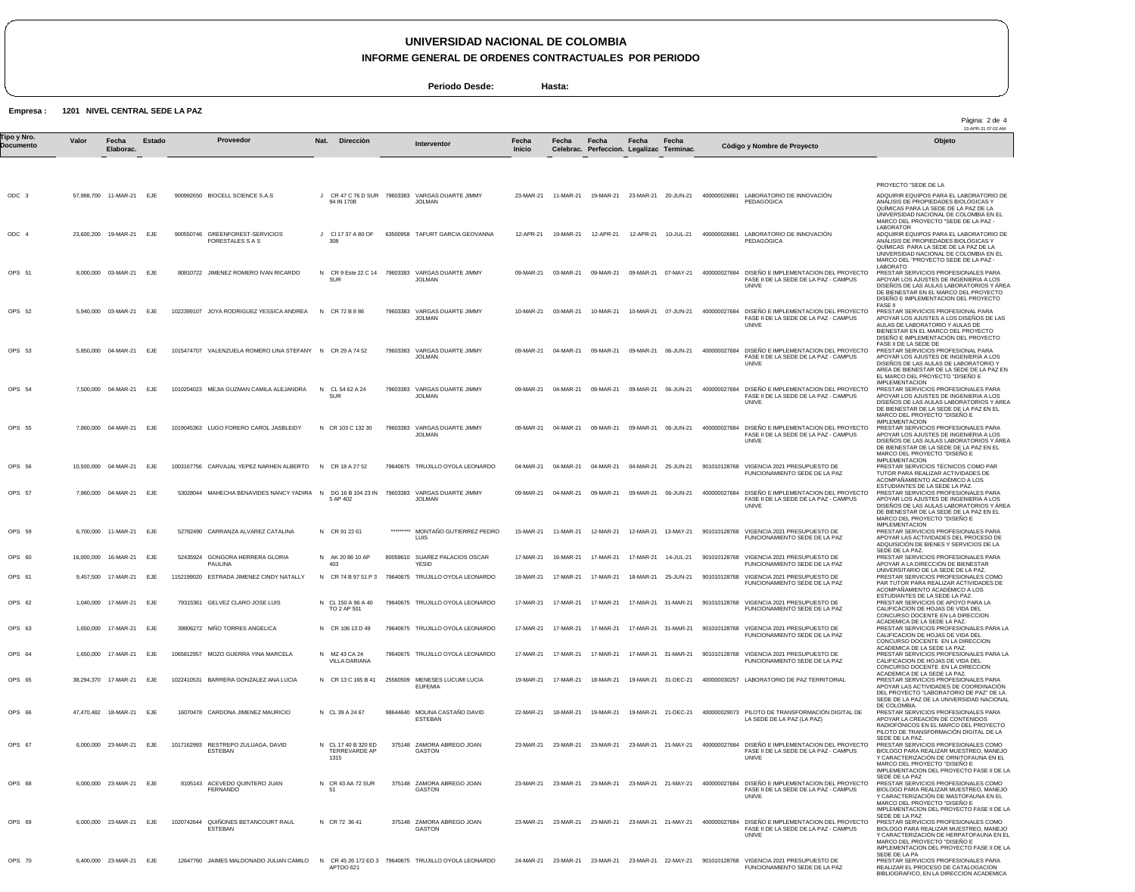**INFORME GENERAL DE ORDENES CONTRACTUALES POR PERIODO**

**Periodo Desde: Hasta:**

**Empresa : 1201 NIVEL CENTRAL SEDE LA PAZ**

|                          |       |                            |            |            |                                                           |                                                 |           |                                                                   |                        |           |                                                    |           |                     |              |                                                                                                            | Pàgina: 2 de 4<br>13-APR-21 07:02 AM                                                                                                                                                                                                     |
|--------------------------|-------|----------------------------|------------|------------|-----------------------------------------------------------|-------------------------------------------------|-----------|-------------------------------------------------------------------|------------------------|-----------|----------------------------------------------------|-----------|---------------------|--------------|------------------------------------------------------------------------------------------------------------|------------------------------------------------------------------------------------------------------------------------------------------------------------------------------------------------------------------------------------------|
| Tipo y Nro.<br>Documento | Valor | Fecha<br>Elaborac.         | Estado     |            | Proveedor                                                 | Direcciòn<br>Nat.                               |           | <b>Interventor</b>                                                | Fecha<br><b>Inicio</b> | Fecha     | Fecha<br>Celebrac. Perfeccion. Legalizac Terminac. | Fecha     | Fecha               |              | Còdigo y Nombre de Proyecto                                                                                | Objeto                                                                                                                                                                                                                                   |
| ODC 3                    |       | 57,988,700 11-MAR-21 EJE   |            |            | 900992650 BIOCELL SCIENCE S.A.S                           | J CR 47 C 76 D SUR 79603383<br>94 IN 1708       |           | VARGAS DUARTE JIMMY<br><b>JOLMAN</b>                              | 23-MAR-21              | 11-MAR-21 | 19-MAR-21                                          |           | 23-MAR-21 20-JUN-21 |              | 400000026861 LABORATORIO DE INNOVACIÓN<br><b>PEDAGOGICA</b>                                                | PROYECTO "SEDE DE LA<br>ADQUIRIR EQUIPOS PARA EL LABORATORIO DE<br>ANALISIS DE PROPIEDADES BIOLÓGICAS Y<br>QUÍMICAS PARA LA SEDE DE LA PAZ DE LA<br>UNIVERSIDAD NACIONAL DE COLOMBIA EN EL<br>MARCO DEL PROYECTO "SEDE DE LA PAZ -       |
| ODC 4                    |       | 23.600.200 19-MAR-21 EJE   |            |            | 900550746 GREENFOREST-SERVICIOS<br>FORESTALES S A S       | CI 17 37 A 80 OF<br>308                         |           | 63500958 TAFURT GARCIA GEOVANNA                                   | 12-APR-21              | 19-MAR-21 | 12-APR-21                                          | 12-APR-21 | 10-JUL-21           | 400000026861 | LABORATORIO DE INNOVACIÓN<br>PEDAGOGICA                                                                    | LABORATOR<br>ADQUIRIR EQUIPOS PARA EL LABORATORIO DE<br>ANÁLISIS DE PROPIEDADES BIOLÓGICAS Y<br>QUÍMICAS PARA LA SEDE DE LA PAZ DE LA<br>UNIVERSIDAD NACIONAL DE COLOMBIA EN EL<br>MARCO DEL "PROYECTO SEDE DE LA PAZ -                  |
| OPS 51                   |       | 8.000.000 03-MAR-21 EJE    |            |            | 80810722 JIMENEZ ROMERO IVAN RICARDO                      | <b>SUR</b>                                      |           | N CR 9 Este 22 C 14 79603383 VARGAS DUARTE JIMMY<br><b>JOLMAN</b> | 09-MAR-21              | 03-MAR-21 | 09-MAR-21                                          |           | 09-MAR-21 07-MAY-21 |              | 400000027684 DISEÑO E IMPLEMENTACION DEL PROYECTO<br>FASE II DE LA SEDE DE LA PAZ - CAMPUS<br><b>UNIVE</b> | LABORATO<br>PRESTAR SERVICIOS PROFESIONALES PARA<br>APOYAR LOS AJUSTES DE INGENIERIA A LOS<br>DISEÑOS DE LAS AULAS LABORATORIOS Y ÁREA<br>DE BIENESTAR EN EL MARCO DEL PROYECTO<br>DISEÑO E IMPLEMENTACION DEL PROYECTO                  |
| OPS 52                   |       | 5,940,000 03-MAR-21 EJE    |            |            | 1022399107 JOYA RODRIGUEZ YESSICA ANDREA                  | N CR 72 B 8 86                                  |           | 79603383 VARGAS DUARTE JIMMY<br><b>JOLMAN</b>                     | 10-MAR-21              | 03-MAR-21 | 10-MAR-21                                          |           | 10-MAR-21 07-JUN-21 |              | 400000027684 DISEÑO E IMPLEMENTACION DEL PROYECTO<br>FASE II DE LA SEDE DE LA PAZ - CAMPUS<br><b>UNIVE</b> | <b>FASE II</b><br>PRESTAR SERVICIOS PROFESIONAL PARA<br>APOYAR LOS AJUSTES A LOS DISENOS DE LAS<br>AULAS DE LABORATORIO Y AULAS DE<br>BIENESTAR EN EL MARCO DEL PROYECTO<br>DISEÑO E IMPLEMENTACIÓN DEL PROYECTO                         |
| OPS 53                   |       | 5,850,000 04-MAR-21        | <b>EJE</b> |            | 1015474707 VALENZUELA ROMERO LINA STEFANY N CR 29 A 74 52 |                                                 |           | 79603383 VARGAS DUARTE JIMMY<br><b>JOLMAN</b>                     | 09-MAR-21              | 04-MAR-21 | 09-MAR-21                                          | 09-MAR-21 | 06-JUN-21           |              | 400000027684 DISEÑO E IMPLEMENTACION DEL PROYECTO<br>FASE II DE LA SEDE DE LA PAZ - CAMPUS<br><b>UNIVE</b> | FASE II DE LA SEDE DE<br>PRESTAR SERVICIOS PROFESIONAL PARA<br>APOYAR LOS AJUSTES DE INGENIERÍA A LOS<br>DISEÑOS DE LAS AULAS DE LABORATORIO Y<br>AREA DE BIENESTAR DE LA SEDE DE LA PAZ EN<br>EL MARCO DEL PROYECTO "DISEÑO E           |
| OPS 54                   |       | 7,500,000 04-MAR-21        | EJE        |            | 1010204023 MEJIA GUZMAN CAMILA ALEJANDRA                  | N CL 54 62 A 24<br><b>SUR</b>                   | 79603383  | VARGAS DUARTE JIMMY<br><b>JOLMAN</b>                              | 09-MAR-21              | 04-MAR-21 | 09-MAR-21                                          | 09-MAR-21 | 06-JUN-21           |              | 400000027684 DISEÑO E IMPLEMENTACION DEL PROYECTO<br>FASE II DE LA SEDE DE LA PAZ - CAMPUS<br><b>UNIVE</b> | <b>IMPLEMENTACION</b><br>PRESTAR SERVICIOS PROFESIONALES PARA<br>APOYAR LOS AJUSTES DE INGENIERIA A LOS<br>DISEÑOS DE LAS AULAS LABORATORIOS Y ÁREA<br>DE BIENESTAR DE LA SEDE DE LA PAZ EN EL<br>MARCO DEL PROYECTO "DISENO E           |
| OPS 55                   |       | 7.860.000 04-MAR-21 EJE    |            |            | 1019045363 LUGO FORERO CAROL JASBLEIDY                    | N CR 103 C 132 30                               | 79603383  | VARGAS DUARTE JIMMY<br><b>JOLMAN</b>                              | 09-MAR-21              | 04-MAR-21 | 09-MAR-21                                          |           | 09-MAR-21 06-JUN-21 |              | 400000027684 DISEÑO E IMPLEMENTACION DEL PROYECTO<br>FASE II DE LA SEDE DE LA PAZ - CAMPUS<br><b>UNIVE</b> | <b>IMPLEMENTACION</b><br>PRESTAR SERVICIOS PROFESIONALES PARA<br>APOYAR LOS AJUSTES DE INGENIERIA A LOS<br>DISEÑOS DE LAS AULAS LABORATORIOS Y ÁREA<br>DE BIENESTAR DE LA SEDE DE LA PAZ EN EL<br>MARCO DEL PROYECTO "DISENO E           |
| OPS 56                   |       | 10,500,000 04-MAR-21       | <b>EJE</b> |            | 1003167756 CARVAJAL YEPEZ NARHEN ALBERTO N CR 18 A 27 52  |                                                 |           | 79640675 TRUJILLO OYOLA LEONARDO                                  | 04-MAR-21              | 04-MAR-21 | 04-MAR-21                                          |           | 04-MAR-21 25-JUN-21 |              | 901010128768 VIGENCIA 2021 PRESUPUESTO DE<br>FUNCIONAMIENTO SEDE DE LA PAZ                                 | <b>IMPLEMENTACION</b><br>PRESTAR SERVICIOS TÉCNICOS COMO PAR<br>TUTOR PARA REALIZAR ACTIVIDADES DE<br>ACOMPAÑAMIENTO ACADÉMICO A LOS                                                                                                     |
| OPS 57                   |       | 7,860,000 04-MAR-21        | EJE        |            | 53028044 MAHECHA BENAVIDES NANCY YADIRA                   | $\overline{N}$<br>DG 16 B 104 23 IN<br>5 AP 402 | 79603383  | VARGAS DUARTE JIMMY<br><b>JOLMAN</b>                              | 09-MAR-21              | 04-MAR-21 | 09-MAR-21                                          | 09-MAR-21 | 06-JUN-21           |              | 400000027684 DISEÑO E IMPLEMENTACION DEL PROYECTO<br>FASE II DE LA SEDE DE LA PAZ - CAMPUS<br>UNIVE        | ESTUDIANTES DE LA SEDE LA PAZ.<br>PRESTAR SERVICIOS PROFESIONALES PARA<br>APOYAR LOS AJUSTES DE INGENIERIA A LOS<br>DISEÑOS DE LAS AULAS LABORATORIOS Y ÁREA<br>DE BIENESTAR DE LA SEDE DE LA PAZ EN EL<br>MARCO DEL PROYECTO "DISEÑO E  |
| OPS 59                   |       | 6,700,000 11-MAR-21        | EJE        |            | 52782490 CARRANZA ALVAREZ CATALINA                        | N CR 91 22 61                                   | ********* | MONTAÑO GUTIERREZ PEDRO<br>LUIS                                   | 15-MAR-21              | 11-MAR-21 | 12-MAR-21                                          | 12-MAR-21 | 13-MAY-21           | 901010128768 | VIGENCIA 2021 PRESUPUESTO DE<br>FUNCIONAMIENTO SEDE DE LA PAZ                                              | <b>IMPLEMENTACION</b><br>PRESTAR SERVICIOS PROFESIONALES PARA<br>APOYAR LAS ACTIVIDADES DEL PROCESO DE<br>ADQUISICIÓN DE BIENES Y SERVICIOS DE LA                                                                                        |
| OPS 60                   |       | 16,000,000 16-MAR-21       | EJE        |            | 52435924 GONGORA HERRERA GLORIA<br><b>PAULINA</b>         | N AK 20 86 10 AP<br>403                         |           | 80059610 SUAREZ PALACIOS OSCAR<br><b>YESID</b>                    | 17-MAR-21              | 16-MAR-21 | 17-MAR-21                                          | 17-MAR-21 | 14-JUL-21           |              | 901010128768 VIGENCIA 2021 PRESUPUESTO DE<br>FUNCIONAMIENTO SEDE DE LA PAZ                                 | SEDE DE LA PAZ.<br>PRESTAR SERVICIOS PROFESIONALES PARA<br>APOYAR A LA DIRECCIÓN DE BIENESTAR<br>UNIVERSITARIO DE LA SEDE DE LA PAZ.                                                                                                     |
| OPS 61                   |       | 9,457,500 17-MAR-21 EJE    |            |            | 1152199020 ESTRADA JIMENEZ CINDY NATALLY                  | N CR 74 B 97 51 P 3                             |           | 79640675 TRUJILLO OYOLA LEONARDO                                  | 18-MAR-21              | 17-MAR-21 | 17-MAR-21                                          | 18-MAR-21 | 25-JUN-21           |              | 901010128768 VIGENCIA 2021 PRESUPUESTO DE<br>FUNCIONAMIENTO SEDE DE LA PAZ                                 | PRESTAR SERVICIOS PROFESIONALES COMO<br>PAR TUTOR PARA REALIZAR ACTIVIDADES DE<br>ACOMPAÑAMIENTO ACADÉMICO A LOS                                                                                                                         |
| OPS 62                   |       | 1.040.000 17-MAR-21 EJE    |            |            | 79315361 GELVEZ CLARO JOSE LUIS                           | N CL 150 A 96 A 40<br>TO 2 AP 501               |           | 79640675 TRUJILLO OYOLA LEONARDO                                  | 17-MAR-21              | 17-MAR-21 | 17-MAR-21                                          |           | 17-MAR-21 31-MAR-21 |              | 901010128768 VIGENCIA 2021 PRESUPUESTO DE<br>FUNCIONAMIENTO SEDE DE LA PAZ                                 | ESTUDIANTES DE LA SEDE LA PAZ<br>PRESTAR SERVICIOS DE APOYO PARA LA<br>CALIFICACION DE HOJAS DE VIDA DEL<br>CONCURSO DOCENTE EN LA DIRECCION<br>ACADEMICA DE LA SEDE LA PAZ.                                                             |
| OPS 63                   |       | 1,650,000 17-MAR-21 EJE    |            |            | 39806272 NIÑO TORRES ANGELICA                             | N CR 106 13 D 49                                |           | 79640675 TRUJILLO OYOLA LEONARDO                                  | 17-MAR-21              | 17-MAR-21 | 17-MAR-21                                          |           | 17-MAR-21 31-MAR-21 |              | 901010128768 VIGENCIA 2021 PRESUPUESTO DE<br>FUNCIONAMIENTO SEDE DE LA PAZ                                 | PRESTAR SERVICIOS PROFESIONALES PARA LA<br>CALIFICACION DE HOJAS DE VIDA DEL<br>CONCURSO DOCENTE EN LA DIRECCION<br>ACADEMICA DE LA SEDE LA PAZ.                                                                                         |
| OPS 64                   |       | 1,650,000 17-MAR-21 EJE    |            |            | 1065812957 MOZO GUERRA YINA MARCELA                       | N MZ 43 CA 24<br><b>VILLA DARIANA</b>           |           | 79640675 TRUJILLO OYOLA LEONARDO                                  | 17-MAR-21              | 17-MAR-21 | 17-MAR-21                                          |           | 17-MAR-21 31-MAR-21 |              | 901010128768 VIGENCIA 2021 PRESUPUESTO DE<br>FUNCIONAMIENTO SEDE DE LA PAZ                                 | PRESTAR SERVICIOS PROFESIONALES PARA LA<br>CALIFICACION DE HOJAS DE VIDA DEL<br>CONCURSO DOCENTE EN LA DIRECCION                                                                                                                         |
| OPS 65                   |       | 38,294,370 17-MAR-21       | EJE        |            | 1022410531 BARRERA GONZALEZ ANA LUCIA                     | N CR 13 C 165 B 41                              |           | 25560509 MENESES LUCUMI LUCIA<br><b>EUFEMIA</b>                   | 19-MAR-21              | 17-MAR-21 | 18-MAR-21                                          |           | 19-MAR-21 31-DEC-21 |              | 400000030257 LABORATORIO DE PAZ TERRITORIAL                                                                | ACADEMICA DE LA SEDE LA PAZ.<br>PRESTAR SERVICIOS PROFESIONALES PARA<br>APOYAR LAS ACTIVIDADES DE COORDINACIÓN<br>DEL PROYECTO "LABORATORIO DE PAZ" DE LA<br>SEDE DE LA PAZ DE LA UNIVERSIDAD NACIONAL                                   |
| OPS 66                   |       | 47,470,482  18-MAR-21  EJE |            |            | 16070478 CARDONA JIMENEZ MAURICIO                         | N CL 39 A 24 67                                 |           | 98644640 MOLINA CASTAÑO DAVID<br>ESTEBAN                          | 22-MAR-21              | 18-MAR-21 | 19-MAR-21                                          |           | 19-MAR-21 21-DEC-21 |              | 400000029073 PILOTO DE TRANSFORMACIÓN DIGITAL DE<br>LA SEDE DE LA PAZ (LA PAZ)                             | DE COLOMBIA.<br>PRESTAR SERVICIOS PROFESIONALES PARA<br>APOYAR LA CREACIÓN DE CONTENIDOS<br>RADIOFÓNICOS EN EL MARCO DEL PROYECTO<br>PILOTO DE TRANSFORMACIÓN DIGITAL DE LA                                                              |
| OPS 67                   |       | 6,000,000 23-MAR-21 EJE    |            |            | 1017162993 RESTREPO ZULUAGA, DAVID<br>ESTEBAN             | N CL 17 40 B 320 ED<br>TERREVARDE AP<br>1315    |           | 375148 ZAMORA ABREGO JOAN<br>GASTON                               | 23-MAR-21              | 23-MAR-21 | 23-MAR-21                                          |           | 23-MAR-21 21-MAY-21 |              | 400000027684 DISEÑO E IMPLEMENTACION DEL PROYECTO<br>FASE II DE LA SEDE DE LA PAZ - CAMPUS<br>UNIVE        | SEDE DE LA PAZ.<br>PRESTAR SERVICIOS PROFESIONALES COMO<br>BIOLOGO PARA REALIZAR MUESTREO, MANEJO<br>Y CARACTERIZACIÓN DE ORNITOFAUNA EN EL<br>MARCO DEL PROYECTO "DISEÑO E<br>IMPLEMENTACION DEL PROYECTO FASE II DE LA                 |
| OPS 68                   |       | 6,000,000 23-MAR-21 EJE    |            |            | 8105143 ACEVEDO QUINTERO JUAN<br><b>FERNANDO</b>          | N CR 43 AA 72 SUR<br>51                         |           | 375148 ZAMORA ABREGO JOAN<br>GASTON                               | 23-MAR-21              | 23-MAR-21 | 23-MAR-21                                          |           | 23-MAR-21 21-MAY-21 |              | 400000027684 DISEÑO E IMPLEMENTACION DEL PROYECTO<br>FASE II DE LA SEDE DE LA PAZ - CAMPUS<br>UNIVE        | SEDE DE LA PAZ<br>PRESTAR SERVICIOS PROFESIONALES COMO<br>BIOLOGO PARA REALIZAR MUESTREO, MANEJO<br>Y CARACTERIZACIÓN DE MASTOFAUNA EN EL<br>MARCO DEL PROYECTO "DISEÑO E<br>IMPLEMENTACION DEL PROYECTO FASE II DE LA<br>SEDE DE LA PAZ |
| OPS 69                   |       | 6,000,000 23-MAR-21 EJE    |            | 1020742644 | QUIÑONES BETANCOURT RAUL<br><b>ESTEBAN</b>                | N CR 72 36 41                                   | 375148    | ZAMORA ABREGO JOAN<br>GASTON                                      | 23-MAR-21              | 23-MAR-21 | 23-MAR-21                                          |           | 23-MAR-21 21-MAY-21 |              | 400000027684 DISEÑO E IMPLEMENTACION DEL PROYECTO<br>FASE II DE LA SEDE DE LA PAZ - CAMPUS<br><b>UNIVE</b> | PRESTAR SERVICIOS PROFESIONALES COMO<br>BIOLOGO PARA REALIZAR MUESTREO, MANEJO<br>Y CARACTERIZACIÓN DE HERPATOFAUNA EN EL<br>MARCO DEL PROYECTO "DISEÑO E<br>IMPLEMENTACION DEL PROYECTO FASE II DE LA                                   |
| OPS 70                   |       | 6,400,000 23-MAR-21 EJE    |            |            | 12647760 JAIMES MALDONADO JULIAN CAMILO N                 | APTDO 621                                       |           | CR 45 26 172 ED 3 79640675 TRUJILLO OYOLA LEONARDO                | 24-MAR-21              | 23-MAR-21 | 23-MAR-21                                          |           | 23-MAR-21 22-MAY-21 |              | 901010128768 VIGENCIA 2021 PRESUPUESTO DE<br>FUNCIONAMIENTO SEDE DE LA PAZ                                 | SEDE DE LA PA<br>PRESTAR SERVICIOS PROFESIONALES PARA<br>REALIZAR EL PROCESO DE CATALOGACION<br>BIBLIOGRAFICO, EN LA DIRECCION ACADEMICA                                                                                                 |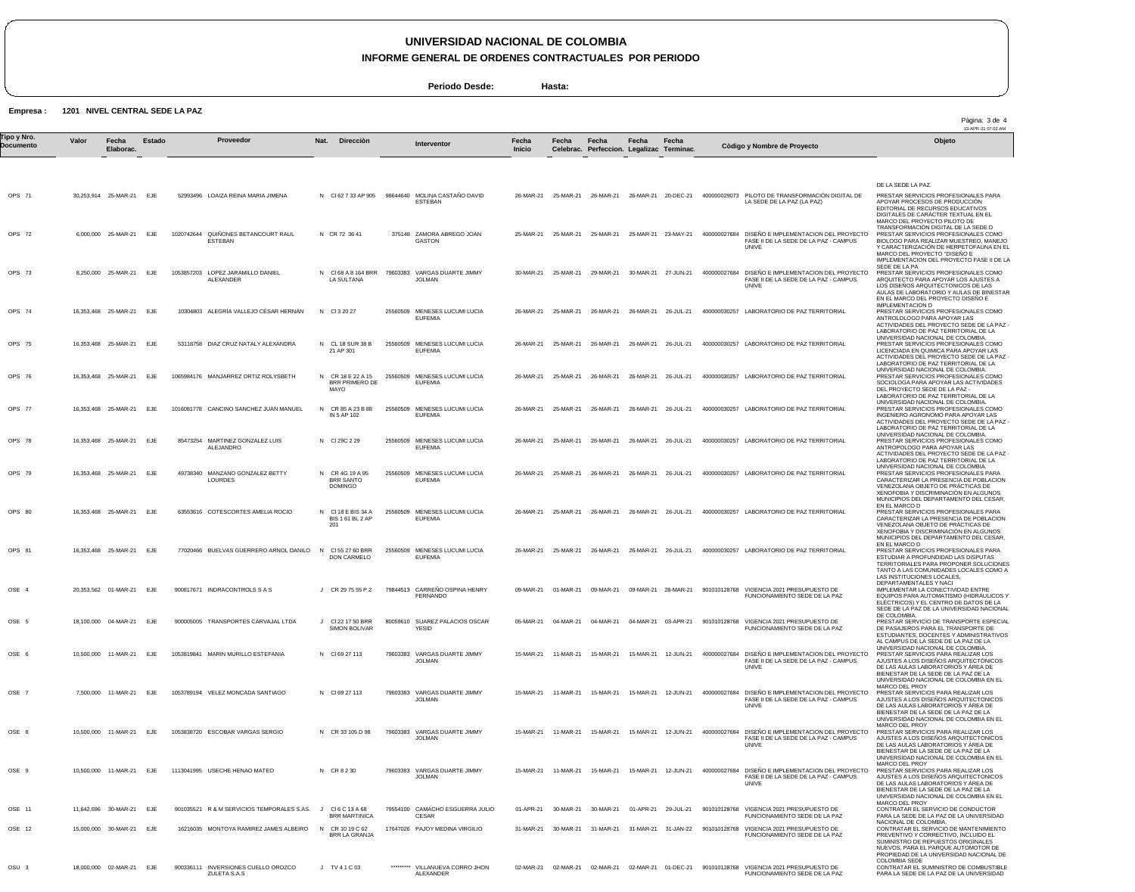**INFORME GENERAL DE ORDENES CONTRACTUALES POR PERIODO**

**Periodo Desde: Hasta:**

**Empresa : 1201 NIVEL CENTRAL SEDE LA PAZ**

|                          |       |                          |            |                                                     |                                                       |          |                                                  |                 |                      |                                                    |                     |                      |              |                                                                                                     | Pàgina: 3 de 4<br>13-APR-21 07:02 AM                                                                                                                                                                                                          |
|--------------------------|-------|--------------------------|------------|-----------------------------------------------------|-------------------------------------------------------|----------|--------------------------------------------------|-----------------|----------------------|----------------------------------------------------|---------------------|----------------------|--------------|-----------------------------------------------------------------------------------------------------|-----------------------------------------------------------------------------------------------------------------------------------------------------------------------------------------------------------------------------------------------|
| Tipo y Nro.<br>Documento | Valor | Fecha<br>Elaborac.       | Estado     | Proveedor                                           | Nat. Direcciòn                                        |          | Interventor                                      | Fecha<br>Inicio | Fecha                | Fecha<br>Celebrac. Perfeccion. Legalizac Terminac. | Fecha               | Fecha                |              | Còdigo y Nombre de Proyecto                                                                         | Objeto                                                                                                                                                                                                                                        |
|                          |       |                          |            |                                                     |                                                       |          |                                                  |                 |                      |                                                    |                     |                      |              |                                                                                                     |                                                                                                                                                                                                                                               |
| OPS 71                   |       | 30,253,914 25-MAR-21 EJE |            | 52993496 LOAIZA REINA MARIA JIMENA                  | N CI62 7 33 AP 905                                    |          | 98644640 MOLINA CASTAÑO DAVID<br>ESTEBAN         |                 | 26-MAR-21 25-MAR-21  | 26-MAR-21                                          |                     | 26-MAR-21 20-DEC-21  |              | 400000029073 PILOTO DE TRANSFORMACIÓN DIGITAL DE<br>LA SEDE DE LA PAZ (LA PAZ)                      | DE LA SEDE LA PAZ.<br>PRESTAR SERVICIOS PROFESIONALES PARA<br>APOYAR PROCESOS DE PRODUCCIÓN<br>EDITORIAL DE RECURSOS EDUCATIVOS<br>DIGITALES DE CARACTER TEXTUAL EN EL<br>MARCO DEL PROYECTO PILOTO DE                                        |
| OPS 72                   |       | 6,000,000 25-MAR-21 EJE  |            | 1020742644 QUIÑONES BETANCOURT RAUL<br>ESTEBAN      | N CR 72 36 41                                         |          | 375148 ZAMORA ABREGO JOAN<br>GASTON              |                 | 25-MAR-21 25-MAR-21  | 25-MAR-21                                          |                     | 25-MAR-21 23-MAY-21  |              | 400000027684 DISEÑO E IMPLEMENTACION DEL PROYECTO<br>FASE II DE LA SEDE DE LA PAZ - CAMPUS<br>UNIVE | TRANSFORMACIÓN DIGITAL DE LA SEDE D<br>PRESTAR SERVICIOS PROFESIONALES COMO<br>BIOLOGO PARA REALIZAR MUESTREO, MANEJO<br>Y CARACTERIZACIÓN DE HERPETOFAUNA EN EL<br>MARCO DEL PROYECTO "DISEÑO E<br>IMPLEMENTACION DEL PROYECTO FASE II DE LA |
| OPS 73                   |       | 8,250,000 25-MAR-21 EJE  |            | 1053857203 LOPEZ JARAMILLO DANIEL<br>ALEXANDER      | N CI68 A 8 164 BRR<br>LA SULTANA                      |          | 79603383 VARGAS DUARTE JIMMY<br><b>JOLMAN</b>    | 30-MAR-21       | 25-MAR-21            | 29-MAR-21                                          | 30-MAR-21 27-JUN-21 |                      | 400000027684 | DISEÑO E IMPLEMENTACION DEL PROYECTO<br>FASE II DE LA SEDE DE LA PAZ - CAMPUS<br>UNIVE              | SEDE DE LA PA<br>PRESTAR SERVICIOS PROFESIONALES COMO<br>ARQUITECTO PARA APOYAR LOS AJUSTES A<br>LOS DISENOS ARQUITECTONICOS DE LAS<br>AULAS DE LABORATORIO Y AULAS DE BINESTAR<br>EN EL MARCO DEL PROYECTO DISENO E                          |
| OPS 74                   |       | 16.353.468 25-MAR-21 EJE |            | 10304803 ALEGRÍA VALLEJO CÉSAR HERNÁN               | N CI3 20 27                                           |          | 25560509 MENESES LUCUMI LUCIA<br><b>EUFEMIA</b>  |                 |                      | 26-MAR-21 25-MAR-21 26-MAR-21 26-MAR-21 26-JUL-21  |                     |                      |              | 400000030257 LABORATORIO DE PAZ TERRITORIAL                                                         | <b>IMPLEMENTACION D</b><br>PRESTAR SERVICIOS PROFESIONALES COMO<br>ANTROLOLOGO PARA APOYAR LAS<br>ACTIVIDADES DEL PROYECTO SEDE DE LA PAZ<br>LABORATORIO DE PAZ TERRITORIAL DE LA                                                             |
| OPS 75                   |       | 16,353,468 25-MAR-21     | EJE        | 53118758 DIAZ CRUZ NATALY ALEXANDRA                 | N CL 18 SUR 38 B<br>21 AP 301                         |          | 25560509 MENESES LUCUMI LUCIA<br><b>EUFEMIA</b>  |                 | 26-MAR-21 25-MAR-21  | 26-MAR-21                                          | 26-MAR-21 26-JUL-21 |                      |              | 400000030257 LABORATORIO DE PAZ TERRITORIAL                                                         | UNIVERSIDAD NACIONAL DE COLOMBIA.<br>PRESTAR SERVICIOS PROFESIONALES COMO<br>LICENCIADA EN QUIMICA PARA APOYAR LAS<br>ACTIVIDADES DEL PROYECTO SEDE DE LA PAZ-<br>LABORATORIO DE PAZ TERRITORIAL DE LA                                        |
| OPS 76                   |       | 16,353,468 25-MAR-21     | EJE        | 1065984176 MANJARREZ ORTIZ ROLYSBETH                | N CR 18 E 22 A 15<br>BRR PRIMERO DE<br>MAYO           |          | 25560509 MENESES LUCUMI LUCIA<br><b>EUFEMIA</b>  | 26-MAR-21       | 25-MAR-21            | 26-MAR-21                                          | 26-MAR-21           | 26-JUL-21            |              | 400000030257 LABORATORIO DE PAZ TERRITORIAL                                                         | UNIVERSIDAD NACIONAL DE COLOMBIA.<br>PRESTAR SERVICIOS PROFESIONALES COMO<br>SOCIOLOGA PARA APOYAR LAS ACTIVIDADES<br>DEL PROYECTO SEDE DE LA PAZ -<br>LABORATORIO DE PAZ TERRITORIAL DE LA                                                   |
| OPS 77                   |       | 16,353,468 25-MAR-21     | EJE        | 1016081778 CANCINO SANCHEZ JUAN MANUEL              | N CR 85 A 23 B 88<br>IN 5 AP 102                      |          | 25560509 MENESES LUCUMI LUCIA<br><b>EUFEMIA</b>  | 26-MAR-21       | 25-MAR-21            | 26-MAR-21                                          | 26-MAR-21           | 26-JUL-21            |              | 400000030257 LABORATORIO DE PAZ TERRITORIAL                                                         | UNIVERSIDAD NACIONAL DE COLOMBIA.<br>PRESTAR SERVICIOS PROFESIONALES COMO<br>INGENIERO AGRONOMO PARA APOYAR LAS<br>ACTIVIDADES DEL PROYECTO SEDE DE LA PAZ                                                                                    |
| OPS 78                   |       | 16,353,468 25-MAR-21 EJE |            | 85473254 MARTINEZ GONZALEZ LUIS<br>ALEJANDRO        | N CI 29C 2 29                                         |          | 25560509 MENESES LUCUMI LUCIA<br><b>EUFEMIA</b>  | 26-MAR-21       | 25-MAR-21            | 26-MAR-21                                          | 26-MAR-21           | 26-JUL-21            |              | 400000030257 LABORATORIO DE PAZ TERRITORIAL                                                         | LABORATORIO DE PAZ TERRITORIAL DE LA<br>UNIVERSIDAD NACIONAL DE COLOMBIA<br>PRESTAR SERVICIOS PROFESIONALES COMO<br>ANTROPOLOGO PARA APOYAR LAS<br>ACTIVIDADES DEL PROYECTO SEDE DE LA PAZ                                                    |
| OPS 79                   |       | 16,353,468 25-MAR-21 EJE |            | 49738340 MANZANO GONZALEZ BETTY<br>LOURDES          | N CR 4G 19 A 95<br>BRR SANTO<br><b>DOMINGO</b>        |          | 25560509 MENESES LUCUMI LUCIA<br><b>EUFEMIA</b>  | 26-MAR-21       | 25-MAR-21            | 26-MAR-21                                          | 26-MAR-21           | 26-JUL-21            |              | 400000030257 LABORATORIO DE PAZ TERRITORIAL                                                         | LABORATORIO DE PAZ TERRITORIAL DE LA<br>UNIVERSIDAD NACIONAL DE COLOMBIA<br>PRESTAR SERVICIOS PROFESIONALES PARA<br>CARACTERIZAR LA PRESENCIA DE POBLACION<br>VENEZOLANA OBJETO DE PRACTICAS DE<br>XENOFOBIA Y DISCRIMINACIÓN EN ALGUNOS      |
| OPS 80                   |       | 16,353,468 25-MAR-21 EJE |            | 63553616 COTESCORTES AMELIA ROCIO                   | N CI 18 E BIS 34 A<br><b>BIS 1 61 BL 2 AP</b><br>201  |          | 25560509 MENESES LUCUMI LUCIA<br><b>EUFEMIA</b>  | 26-MAR-21       | 25-MAR-21            | 26-MAR-21                                          | 26-MAR-21           | 26-JUL-21            |              | 400000030257 LABORATORIO DE PAZ TERRITORIAL                                                         | MUNICIPIOS DEL DEPARTAMENTO DEL CESAR.<br>EN EL MARCO D<br>PRESTAR SERVICIOS PROFESIONALES PARA<br>CARACTERIZAR LA PRESENCIA DE POBLACION<br>VENEZOLANA OBJETO DE PRÁCTICAS DE<br>XENOFOBIA Y DISCRIMINACIÓN EN ALGUNOS                       |
| OPS 81                   |       | 16,353,468 25-MAR-21     | EJE        | 77020466 BUELVAS GUERRERO ARNOL DANILO              | $\mathsf{N}$<br>CI 55 27 60 BRR<br><b>DON CARMELO</b> | 25560509 | MENESES LUCUMI LUCIA<br><b>EUFEMIA</b>           | 26-MAR-21       | 25-MAR-21            | 26-MAR-21                                          | 26-MAR-21           | 26-JUL-21            |              | 400000030257 LABORATORIO DE PAZ TERRITORIAL                                                         | MUNICIPIOS DEL DEPARTAMENTO DEL CESAR.<br>EN EL MARCO D<br>PRESTAR SERVICIOS PROFESIONALES PARA<br>ESTUDIAR A PROFUNDIDAD LAS DISPUTAS<br>TERRITORIALES PARA PROPONER SOLUCIONES<br>TANTO A LAS COMUNIDADES LOCALES COMO A                    |
| OSE 4                    |       | 20,353,562 01-MAR-21 EJE |            | 900817671 INDRACONTROLS S A S                       | J CR 29 75 55 P 2                                     |          | 79844513 CARREÑO OSPINA HENRY<br><b>FERNANDO</b> | 09-MAR-21       | 01-MAR-21            | 09-MAR-21                                          |                     | 09-MAR-21 28-MAR-21  |              | 901010128768 VIGENCIA 2021 PRESUPUESTO DE<br>FUNCIONAMIENTO SEDE DE LA PAZ                          | LAS INSTITUCIONES LOCALES,<br>DEPARTAMENTALES Y NACI<br>IMPLEMENTAR LA CONECTIVIDAD ENTRE<br>EQUIPOS PARA AUTOMATISMO (HIDRÁULICOS Y<br>ELÉCTRICOS) Y EL CENTRO DE DATOS DE LA                                                                |
| OSE 5                    |       | 18,100,000 04-MAR-21 EJE |            | 900005005 TRANSPORTES CARVAJAL LTDA                 | CI 22 17 50 BRR<br>SIMON BOLIVAR                      | 80059610 | SUAREZ PALACIOS OSCAR<br>YESID                   | 05-MAR-21       | 04-MAR-21            | 04-MAR-21                                          | 04-MAR-21           | 03-APR-21            | 901010128768 | VIGENCIA 2021 PRESUPUESTO DE<br>FUNCIONAMIENTO SEDE DE LA PAZ                                       | SEDE DE LA PAZ DE LA UNIVERSIDAD NACIONAL<br>DE COLOMBIA.<br>PRESTAR SERVICIO DE TRANSPORTE ESPECIAL<br>DE PASAJEROS PARA EL TRANSPORTE DE<br>ESTUDIANTES, DOCENTES Y ADMINISTRATIVOS<br>AL CAMPUS DE LA SEDE DE LA PAZ DE LA                 |
| OSE 6                    |       | 10,500,000 11-MAR-21 EJE |            | 1053819841 MARIN MURILLO ESTEFANIA                  | N CI69 27 113                                         |          | 79603383 VARGAS DUARTE JIMMY<br><b>JOLMAN</b>    |                 | 15-MAR-21  11-MAR-21 | 15-MAR-21                                          |                     | 15-MAR-21  12-JUN-21 |              | 400000027684 DISEÑO E IMPLEMENTACION DEL PROYECTO<br>FASE II DE LA SEDE DE LA PAZ - CAMPUS<br>UNIVE | UNIVERSIDAD NACIONAL DE COLOMBIA.<br>PRESTAR SERVICIOS PARA REALIZAR LOS<br>AJUSTES A LOS DISENOS ARQUITECTÓNICOS<br>DE LAS AULAS LABORATORIOS Y AREA DE<br>BIENESTAR DE LA SEDE DE LA PAZ DE LA                                              |
| OSE 7                    |       | 7,500,000 11-MAR-21      | <b>EJE</b> | 1053789194 VELEZ MONCADA SANTIAGO                   | N CI69 27 113                                         |          | 79603383 VARGAS DUARTE JIMMY<br><b>JOLMAN</b>    | 15-MAR-21       | 11-MAR-21            | 15-MAR-21                                          |                     | 15-MAR-21  12-JUN-21 |              | 400000027684 DISEÑO E IMPLEMENTACION DEL PROYECTO<br>FASE II DE LA SEDE DE LA PAZ - CAMPUS<br>UNIVE | UNIVERSIDAD NACIONAL DE COLOMBIA EN EL<br>MARCO DEL PROY<br>PRESTAR SERVICIOS PARA REALIZAR LOS<br>AJUSTES A LOS DISENOS ARQUITECTONICOS<br>DE LAS AULAS LABORATORIOS Y AREA DE<br>BIENESTAR DE LA SEDE DE LA PAZ DE LA                       |
| OSE 8                    |       | 10.500.000 11-MAR-21     | EJE        | 1053838720 ESCOBAR VARGAS SERGIO                    | N CR 33 105 D 98                                      | 79603383 | VARGAS DUARTE JIMMY<br><b>JOLMAN</b>             | 15-MAR-21       | 11-MAR-21            | 15-MAR-21                                          | 15-MAR-21           | 12-JUN-21            | 400000027684 | DISEÑO E IMPLEMENTACION DEL PROYECTO<br>FASE II DE LA SEDE DE LA PAZ - CAMPUS<br>UNIVE              | UNIVERSIDAD NACIONAL DE COLOMBIA EN EL<br>MARCO DEL PROY<br>PRESTAR SERVICIOS PARA REALIZAR LOS<br>AJUSTES A LOS DISEÑOS ARQUITECTONICOS<br>DE LAS AULAS LABORATORIOS Y ÁREA DE                                                               |
| OSE 9                    |       | 10,500,000  11-MAR-21    | <b>EJE</b> | 1113041995 USECHE HENAO MATEO                       | N CR 8 2 30                                           |          | 79603383 VARGAS DUARTE JIMMY<br><b>JOLMAN</b>    | 15-MAR-21       | 11-MAR-21            | 15-MAR-21                                          | 15-MAR-21           | 12-JUN-21            | 400000027684 | DISEÑO E IMPLEMENTACION DEL PROYECTO<br>FASE II DE LA SEDE DE LA PAZ - CAMPUS<br>UNIVE              | BIENESTAR DE LA SEDE DE LA PAZ DE LA<br>UNIVERSIDAD NACIONAL DE COLOMBIA EN EL<br>MARCO DEL PROY<br>PRESTAR SERVICIOS PARA REALIZAR LOS<br>AJUSTES A LOS DISENOS ARQUITECTONICOS<br>DE LAS AULAS LABORATORIOS Y AREA DE                       |
| OSE 11                   |       | 11,642,696 30-MAR-21     | EJE        | 901035521 R & M SERVICIOS TEMPORALES S.AS.          | CI6 C 13 A 68<br>J.<br><b>BRR MARTINICA</b>           | 79554100 | CAMACHO ESGUERRA JULIO<br><b>CESAR</b>           | 01-APR-21       | 30-MAR-21            | 30-MAR-21                                          | 01-APR-21           | 29-JUL-21            | 901010128768 | VIGENCIA 2021 PRESUPUESTO DE<br>FUNCIONAMIENTO SEDE DE LA PAZ                                       | BIENESTAR DE LA SEDE DE LA PAZ DE LA<br>UNIVERSIDAD NACIONAL DE COLOMBIA EN EL<br>MARCO DEL PROY<br>CONTRATAR EL SERVICIO DE CONDUCTOR<br>PARA LA SEDE DE LA PAZ DE LA UNIVERSIDAD                                                            |
| OSE 12                   |       | 15,000,000 30-MAR-21 EJE |            | 16216035 MONTOYA RAMIREZ JAMES ALBEIRO              | N CR 10 19 C 62<br>BRR LA GRANJA                      |          | 17647026 PAJOY MEDINA VIRGILIO                   |                 | 31-MAR-21 30-MAR-21  | 31-MAR-21                                          |                     | 31-MAR-21 31-JAN-22  |              | 901010128768 VIGENCIA 2021 PRESUPUESTO DE<br>FUNCIONAMIENTO SEDE DE LA PAZ                          | NACIONAL DE COLOMBIA.<br>CONTRATAR EL SERVICIO DE MANTENIMIENTO<br>PREVENTIVO Y CORRECTIVO, INCLUIDO EL<br>SUMINISTRO DE REPUESTOS ORIGINALES<br>NUEVOS, PARA EL PARQUE AUTOMOTOR DE                                                          |
| OSU <sub>3</sub>         |       | 18,000,000 02-MAR-21 EJE |            | 900336111 INVERSIONES CUELLO OROZCO<br>ZULETA S.A.S | J TV 41 C 03                                          |          | ********* VILLANUEVA CORRO JHON<br>ALEXANDER     | 02-MAR-21       | 02-MAR-21            | 02-MAR-21                                          |                     | 02-MAR-21 01-DEC-21  |              | 901010128768 VIGENCIA 2021 PRESUPUESTO DE<br>FUNCIONAMIENTO SEDE DE LA PAZ                          | PROPIEDAD DE LA UNIVERSIDAD NACIONAL DE<br><b>COLOMBIA SEDE</b><br>CONTRATAR EL SUMINISTRO DE COMBUSTIBLE<br>PARA LA SEDE DE LA PAZ DE LA UNIVERSIDAD                                                                                         |

02-MAR-21 02-MAR-21 02-MAR-21 02-MAR-21 01-DEC-21 901010128768 VIGENCIA 2021 PRESUPUESTO DE<br>FUNCIONAMIENTO SEDE DE LA PAZ

18,000,000 02-MAR-21 EJE 900336111 INVERSIONES CUELLO OROZCO ZULETA S.A.S